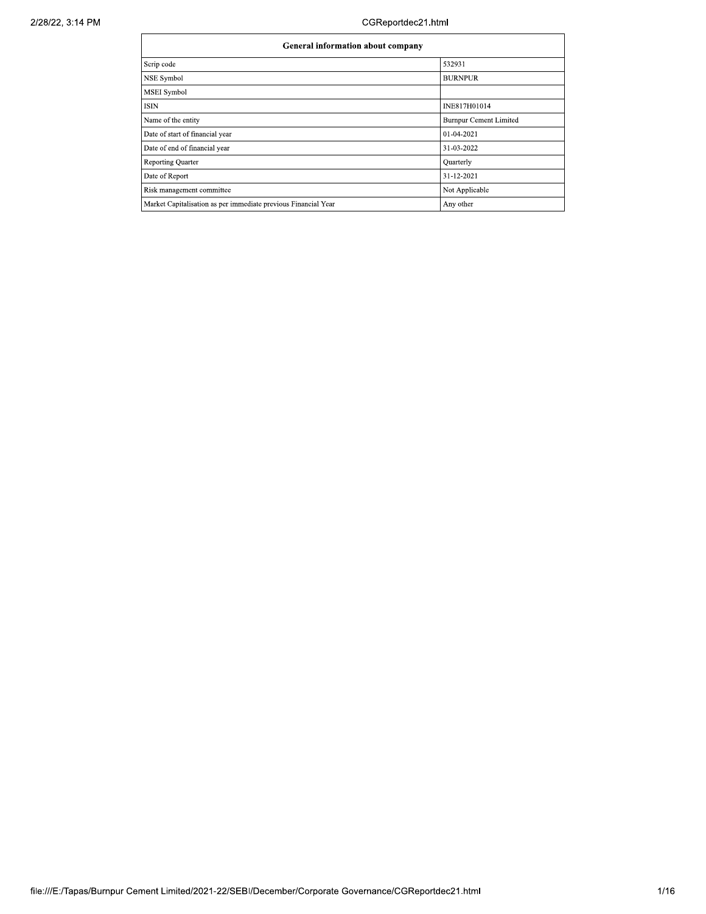$\mathcal{L}$ 

| General information about company                              |                               |  |  |  |  |  |  |
|----------------------------------------------------------------|-------------------------------|--|--|--|--|--|--|
| Scrip code                                                     | 532931                        |  |  |  |  |  |  |
| <b>NSE Symbol</b>                                              | <b>BURNPUR</b>                |  |  |  |  |  |  |
| <b>MSEI</b> Symbol                                             |                               |  |  |  |  |  |  |
| <b>ISIN</b>                                                    | INE817H01014                  |  |  |  |  |  |  |
| Name of the entity                                             | <b>Burnpur Cement Limited</b> |  |  |  |  |  |  |
| Date of start of financial year                                | 01-04-2021                    |  |  |  |  |  |  |
| Date of end of financial year                                  | 31-03-2022                    |  |  |  |  |  |  |
| <b>Reporting Quarter</b>                                       | Quarterly                     |  |  |  |  |  |  |
| Date of Report                                                 | 31-12-2021                    |  |  |  |  |  |  |
| Risk management committee                                      | Not Applicable                |  |  |  |  |  |  |
| Market Capitalisation as per immediate previous Financial Year | Any other                     |  |  |  |  |  |  |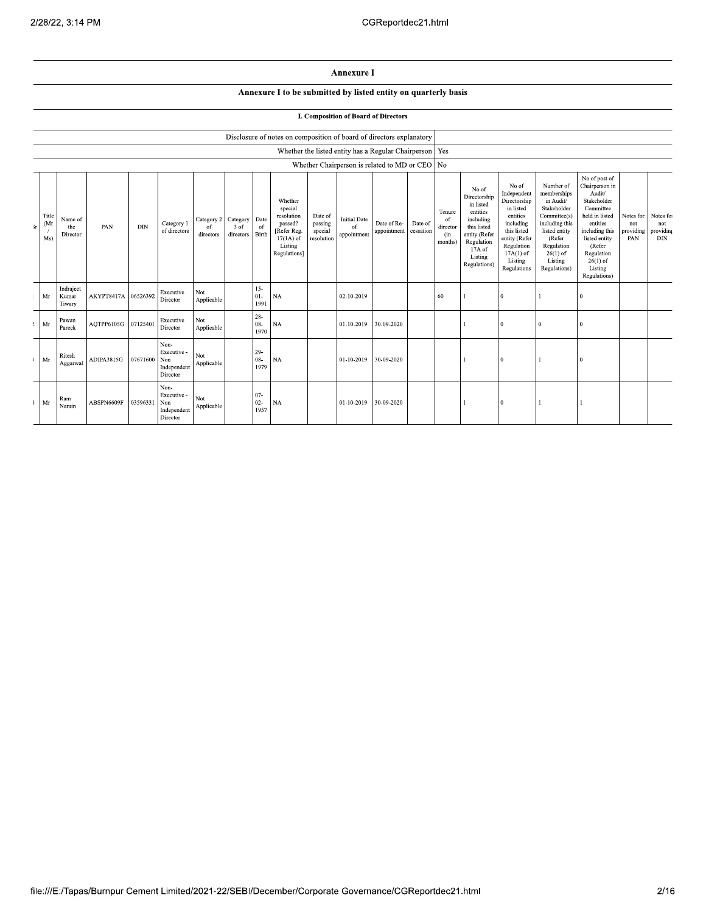## Annexure I

## Annexure I to be submitted by listed entity on quarterly basis

## **I. Composition of Board of Directors**

|     |                     |                              |                     |            |                                                       |                                        |                   |                          | Disclosure of notes on composition of board of directors explanatory                                 |                                             |                                          |                                                         |                      |                                                       |                                                                                                                                                |                                                                                                                                                                   |                                                                                                                                                                          |                                                                                                                                                                                                         |                                               |                                |
|-----|---------------------|------------------------------|---------------------|------------|-------------------------------------------------------|----------------------------------------|-------------------|--------------------------|------------------------------------------------------------------------------------------------------|---------------------------------------------|------------------------------------------|---------------------------------------------------------|----------------------|-------------------------------------------------------|------------------------------------------------------------------------------------------------------------------------------------------------|-------------------------------------------------------------------------------------------------------------------------------------------------------------------|--------------------------------------------------------------------------------------------------------------------------------------------------------------------------|---------------------------------------------------------------------------------------------------------------------------------------------------------------------------------------------------------|-----------------------------------------------|--------------------------------|
|     |                     |                              |                     |            |                                                       |                                        |                   |                          |                                                                                                      |                                             |                                          | Whether the listed entity has a Regular Chairperson Yes |                      |                                                       |                                                                                                                                                |                                                                                                                                                                   |                                                                                                                                                                          |                                                                                                                                                                                                         |                                               |                                |
|     |                     |                              |                     |            |                                                       |                                        |                   |                          |                                                                                                      |                                             |                                          | Whether Chairperson is related to MD or CEO No          |                      |                                                       |                                                                                                                                                |                                                                                                                                                                   |                                                                                                                                                                          |                                                                                                                                                                                                         |                                               |                                |
| šr. | Title<br>(Mr<br>Ms) | Name of<br>the<br>Director   | PAN                 | <b>DIN</b> | Category 1<br>of directors                            | Category 2 Category<br>0f<br>directors | 3 of<br>directors | Date<br>of<br>Birth      | Whether<br>special<br>resolution<br>passed?<br>[Refer Reg.<br>$17(1A)$ of<br>Listing<br>Regulations] | Date of<br>passing<br>special<br>resolution | <b>Initial Date</b><br>of<br>appointment | Date of Re-<br>appointment                              | Date of<br>cessation | Tenure<br><sup>of</sup><br>director<br>(in<br>months) | No of<br>Directorship<br>in listed<br>entities<br>including<br>this listed<br>entity (Refer<br>Regulation<br>17A of<br>Listing<br>Regulations) | No of<br>Independent<br>Directorship<br>in listed<br>entities<br>including<br>this listed<br>entity (Refer<br>Regulation<br>$17A(1)$ of<br>Listing<br>Regulations | Number of<br>memberships<br>in Audit/<br>Stakeholder<br>Committee(s)<br>including this<br>listed entity<br>(Refer<br>Regulation<br>$26(1)$ of<br>Listing<br>Regulations) | No of post of<br>Chairperson in<br>Audit/<br>Stakeholder<br>Committee<br>held in listed<br>entities<br>including this<br>listed entity<br>(Refer<br>Regulation<br>$26(1)$ of<br>Listing<br>Regulations) | Notes for Notes fo<br>not<br>providing<br>PAN | not<br>providing<br><b>DIN</b> |
|     | Mr                  | Indrajeet<br>Kumar<br>Tiwary | AKYPT8417A 06526392 |            | Executive<br>Director                                 | Not<br>Applicable                      |                   | $15 -$<br>$01 -$<br>1991 | $_{\rm NA}$                                                                                          |                                             | 02-10-2019                               |                                                         |                      | 60                                                    |                                                                                                                                                | $\mathbf{0}$                                                                                                                                                      |                                                                                                                                                                          | $\Omega$                                                                                                                                                                                                |                                               |                                |
|     | $?$ Mr              | Pawan<br>Pareek              | AQTPP6105G          | 0712540    | Executive<br>Director                                 | Not<br>Applicable                      |                   | $28 -$<br>$08 -$<br>1970 | $_{\rm NA}$                                                                                          |                                             | 01-10-2019                               | 30-09-2020                                              |                      |                                                       |                                                                                                                                                | $\Omega$                                                                                                                                                          | $\theta$                                                                                                                                                                 | $\Omega$                                                                                                                                                                                                |                                               |                                |
|     | Mr                  | Ritesh<br>Aggarwal           | ADIPA3815G          | 07671600   | Non-<br>Executive -<br>Non<br>Independent<br>Director | Not<br>Applicable                      |                   | $29-$<br>$08 -$<br>1979  | <b>NA</b>                                                                                            |                                             | 01-10-2019                               | 30-09-2020                                              |                      |                                                       |                                                                                                                                                | $\overline{0}$                                                                                                                                                    |                                                                                                                                                                          | 0                                                                                                                                                                                                       |                                               |                                |
|     | $\vdash$ Mr         | Ram<br>Narain                | ABSPN6609F          | 03596331   | Non-<br>Executive -<br>Non<br>Independent<br>Director | Not<br>Applicable                      |                   | $07 -$<br>$02 -$<br>1957 | <b>NA</b>                                                                                            |                                             | 01-10-2019                               | 30-09-2020                                              |                      |                                                       |                                                                                                                                                | $\Omega$                                                                                                                                                          |                                                                                                                                                                          |                                                                                                                                                                                                         |                                               |                                |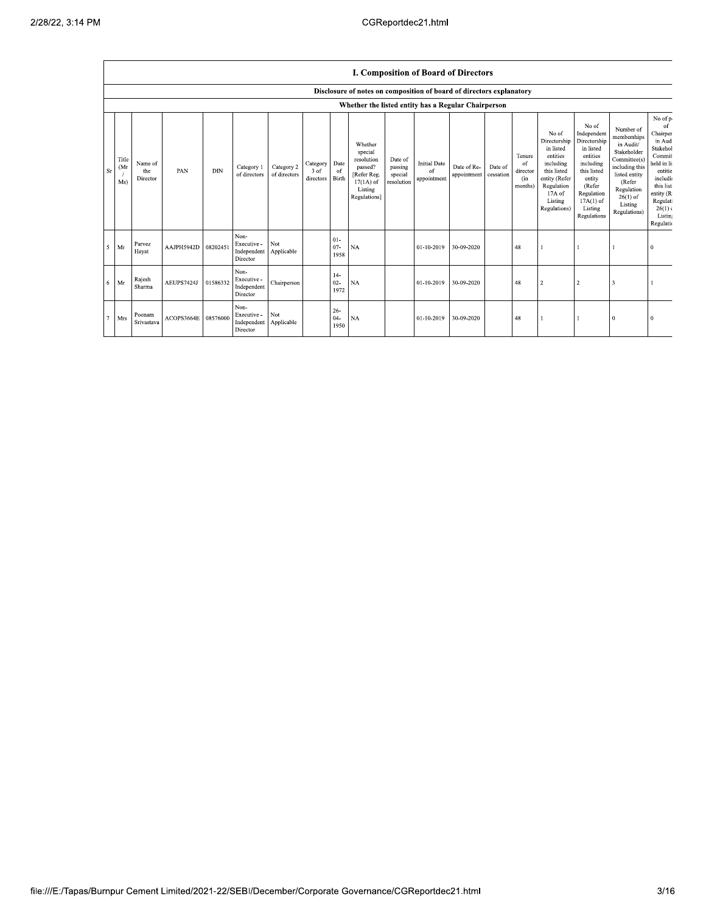$\mathsf{r}$ 

|           |                                                     |                            |            |            |                                                |                            |                                     |                          |                                                                                                      |                                             | <b>I. Composition of Board of Directors</b> |                            |                      |                                            |                                                                                                                                                |                                                                                                                                                                      |                                                                                                                                                                          |                                                                                                                                                                    |
|-----------|-----------------------------------------------------|----------------------------|------------|------------|------------------------------------------------|----------------------------|-------------------------------------|--------------------------|------------------------------------------------------------------------------------------------------|---------------------------------------------|---------------------------------------------|----------------------------|----------------------|--------------------------------------------|------------------------------------------------------------------------------------------------------------------------------------------------|----------------------------------------------------------------------------------------------------------------------------------------------------------------------|--------------------------------------------------------------------------------------------------------------------------------------------------------------------------|--------------------------------------------------------------------------------------------------------------------------------------------------------------------|
|           |                                                     |                            |            |            |                                                |                            |                                     |                          | Disclosure of notes on composition of board of directors explanatory                                 |                                             |                                             |                            |                      |                                            |                                                                                                                                                |                                                                                                                                                                      |                                                                                                                                                                          |                                                                                                                                                                    |
|           | Whether the listed entity has a Regular Chairperson |                            |            |            |                                                |                            |                                     |                          |                                                                                                      |                                             |                                             |                            |                      |                                            |                                                                                                                                                |                                                                                                                                                                      |                                                                                                                                                                          |                                                                                                                                                                    |
| <b>Sr</b> | Title<br>(Mr<br>Ms)                                 | Name of<br>the<br>Director | PAN        | <b>DIN</b> | Category 1<br>of directors                     | Category 2<br>of directors | Category<br>3 of<br>directors Birth | Date<br>of               | Whether<br>special<br>resolution<br>passed?<br>[Refer Reg.<br>$17(1A)$ of<br>Listing<br>Regulations] | Date of<br>passing<br>special<br>resolution | <b>Initial Date</b><br>of<br>appointment    | Date of Re-<br>appointment | Date of<br>cessation | Tenure<br>of<br>director<br>(in<br>months) | No of<br>Directorship<br>in listed<br>entities<br>including<br>this listed<br>entity (Refer<br>Regulation<br>17A of<br>Listing<br>Regulations) | No of<br>Independent<br>Directorship<br>in listed<br>entities<br>including<br>this listed<br>entity<br>(Refer<br>Regulation<br>$17A(1)$ of<br>Listing<br>Regulations | Number of<br>memberships<br>in Audit/<br>Stakeholder<br>Committee(s)<br>including this<br>listed entity<br>(Refer<br>Regulation<br>$26(1)$ of<br>Listing<br>Regulations) | No of p<br>of<br>Chairper<br>in Aud<br>Stakehol<br>Commit<br>held in li<br>entitie<br>includi<br>this list<br>entity (R<br>Regulat<br>26(1)<br>Listin<br>Regulatio |
|           | $5$ Mr                                              | Parvez<br>Hayat            | AAJPH5942D | 08202451   | Non-<br>Executive -<br>Independent<br>Director | Not<br>Applicable          |                                     | $01 -$<br>$07 -$<br>1958 | <b>NA</b>                                                                                            |                                             | 01-10-2019                                  | 30-09-2020                 |                      | 48                                         |                                                                                                                                                |                                                                                                                                                                      |                                                                                                                                                                          | 0                                                                                                                                                                  |
|           | $6$ Mr                                              | Rajesh<br>Sharma           | AEUPS7424J | 01586332   | Non-<br>Executive -<br>Independent<br>Director | Chairperson                |                                     | $14-$<br>$02 -$<br>1972  | NA                                                                                                   |                                             | $01 - 10 - 2019$                            | 30-09-2020                 |                      | 48                                         | $\overline{2}$                                                                                                                                 | $\overline{2}$                                                                                                                                                       | 3                                                                                                                                                                        |                                                                                                                                                                    |
| 7         | Mrs                                                 | Poonam<br>Srivastava       | ACOPS3664E | 08576000   | Non-<br>Executive -<br>Independent<br>Director | Not<br>Applicable          |                                     | $26 -$<br>$04 -$<br>1950 | <b>NA</b>                                                                                            |                                             | 01-10-2019                                  | 30-09-2020                 |                      | 48                                         |                                                                                                                                                |                                                                                                                                                                      | $\bf{0}$                                                                                                                                                                 |                                                                                                                                                                    |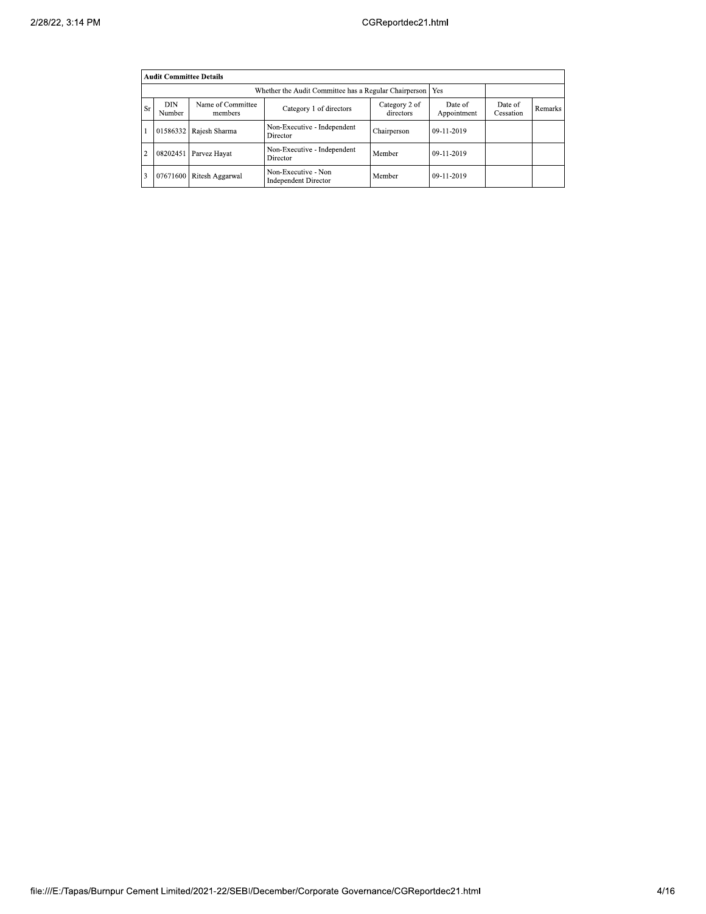|                | <b>Audit Committee Details</b> |                                                             |                                                    |                      |            |  |  |  |  |  |
|----------------|--------------------------------|-------------------------------------------------------------|----------------------------------------------------|----------------------|------------|--|--|--|--|--|
|                |                                | Whether the Audit Committee has a Regular Chairperson   Yes |                                                    |                      |            |  |  |  |  |  |
| <b>Sr</b>      | <b>DIN</b><br>Number           | Name of Committee<br>members                                | Date of<br>Appointment                             | Date of<br>Cessation | Remarks    |  |  |  |  |  |
|                |                                | 01586332 Rajesh Sharma                                      | Non-Executive - Independent<br>Director            | Chairperson          | 09-11-2019 |  |  |  |  |  |
| $\overline{c}$ | 08202451                       | Parvez Hayat                                                | Non-Executive - Independent<br>Director            | Member               | 09-11-2019 |  |  |  |  |  |
| 3              |                                | 07671600 Ritesh Aggarwal                                    | Non-Executive - Non<br><b>Independent Director</b> | Member               | 09-11-2019 |  |  |  |  |  |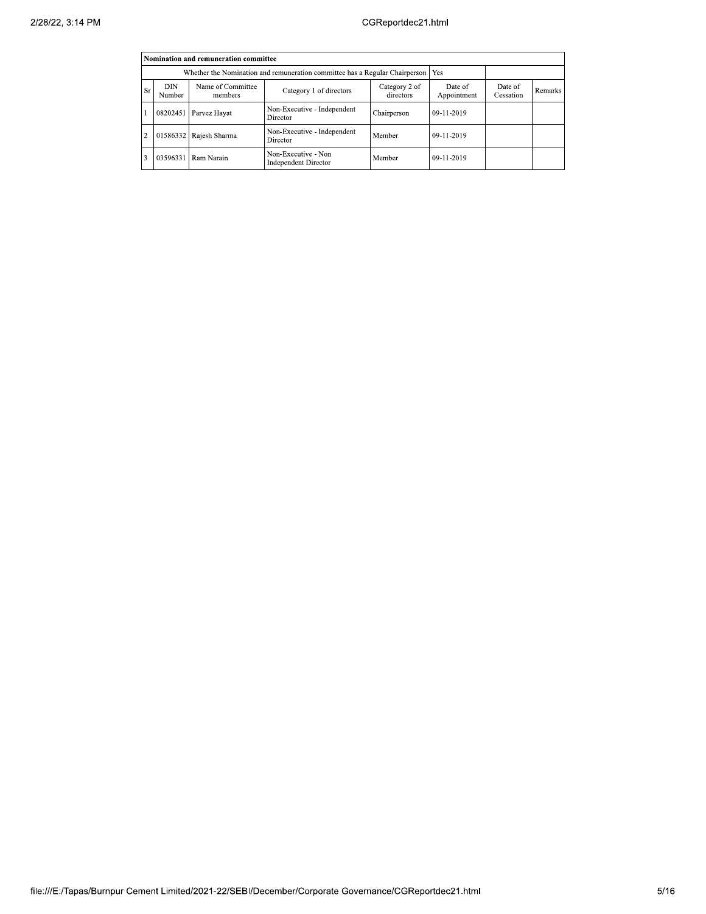|                                                                                    | Nomination and remuneration committee |                              |                                                    |                        |                      |         |  |  |  |  |
|------------------------------------------------------------------------------------|---------------------------------------|------------------------------|----------------------------------------------------|------------------------|----------------------|---------|--|--|--|--|
| Whether the Nomination and remuneration committee has a Regular Chairperson<br>Yes |                                       |                              |                                                    |                        |                      |         |  |  |  |  |
| <b>Sr</b>                                                                          | DIN<br>Number                         | Name of Committee<br>members | Category 2 of<br>directors                         | Date of<br>Appointment | Date of<br>Cessation | Remarks |  |  |  |  |
|                                                                                    | 08202451                              | Parvez Hayat                 | Non-Executive - Independent<br>Director            | Chairperson            | 09-11-2019           |         |  |  |  |  |
| $\overline{c}$                                                                     | 01586332                              | Rajesh Sharma                | Non-Executive - Independent<br>Director            | Member                 | 09-11-2019           |         |  |  |  |  |
| 3                                                                                  | 03596331                              | Ram Narain                   | Non-Executive - Non<br><b>Independent Director</b> | Member                 | 09-11-2019           |         |  |  |  |  |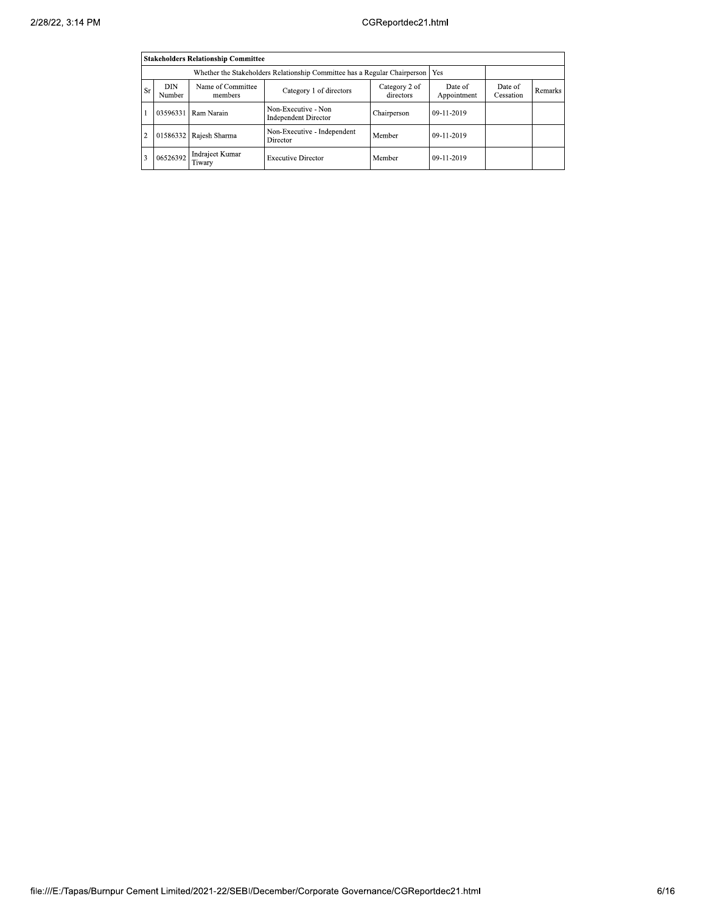| <b>Stakeholders Relationship Committee</b> |                                                                                  |                              |                                                    |                        |                      |         |  |  |  |  |
|--------------------------------------------|----------------------------------------------------------------------------------|------------------------------|----------------------------------------------------|------------------------|----------------------|---------|--|--|--|--|
|                                            | Whether the Stakeholders Relationship Committee has a Regular Chairperson<br>Yes |                              |                                                    |                        |                      |         |  |  |  |  |
| Sr                                         | DIN<br>Number                                                                    | Name of Committee<br>members | Category 2 of<br>directors                         | Date of<br>Appointment | Date of<br>Cessation | Remarks |  |  |  |  |
|                                            | 03596331                                                                         | Ram Narain                   | Non-Executive - Non<br><b>Independent Director</b> | Chairperson            | 09-11-2019           |         |  |  |  |  |
| $\overline{c}$                             |                                                                                  | 01586332 Rajesh Sharma       | Non-Executive - Independent<br>Director            | Member                 | 09-11-2019           |         |  |  |  |  |
| 3                                          | 06526392                                                                         | Indrajeet Kumar<br>Tiwary    | <b>Executive Director</b>                          | Member                 | 09-11-2019           |         |  |  |  |  |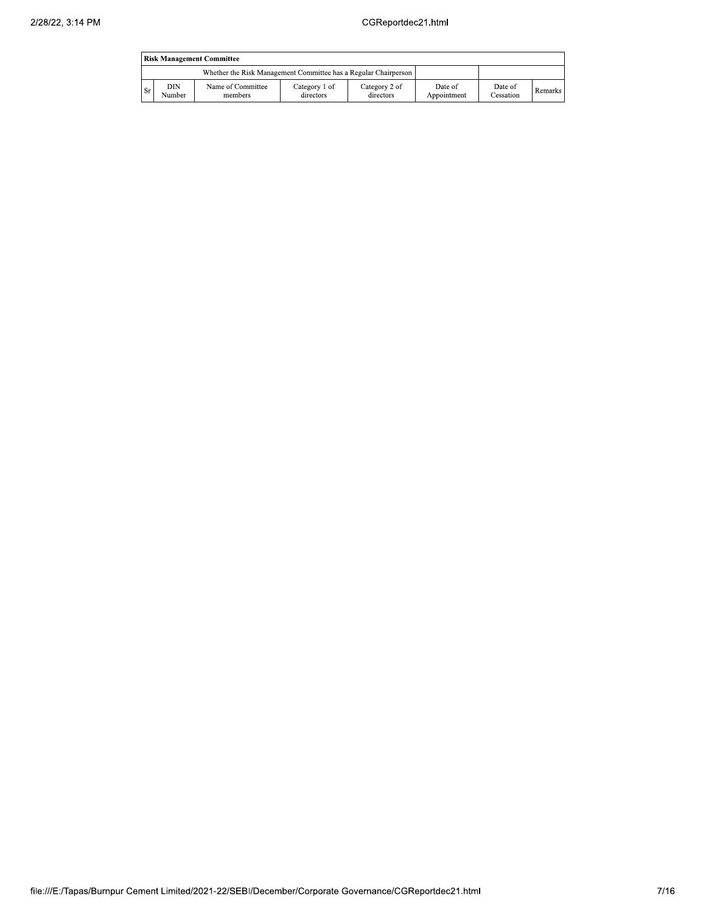|      | <b>Risk Management Committee</b> |                                                                 |                            |                            |                        |                      |         |  |  |
|------|----------------------------------|-----------------------------------------------------------------|----------------------------|----------------------------|------------------------|----------------------|---------|--|--|
|      |                                  | Whether the Risk Management Committee has a Regular Chairperson |                            |                            |                        |                      |         |  |  |
| l Sr | DIN<br>Number                    | Name of Committee<br>members                                    | Category 1 of<br>directors | Category 2 of<br>directors | Date of<br>Appointment | Date of<br>Cessation | Remarks |  |  |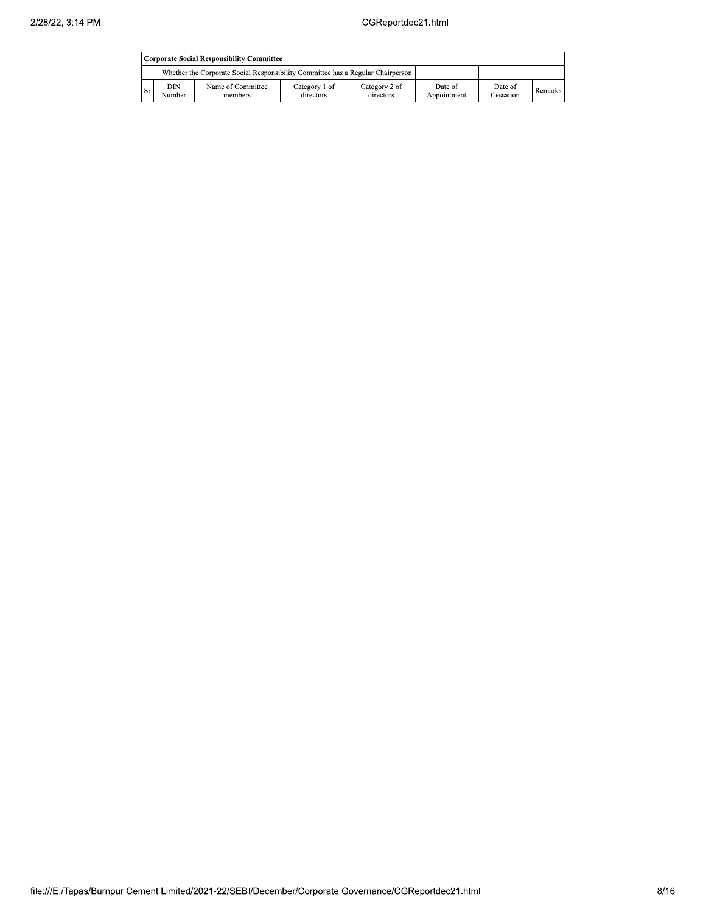|      | <b>Corporate Social Responsibility Committee</b>                                |                              |                            |                            |                        |                      |         |  |  |
|------|---------------------------------------------------------------------------------|------------------------------|----------------------------|----------------------------|------------------------|----------------------|---------|--|--|
|      | Whether the Corporate Social Responsibility Committee has a Regular Chairperson |                              |                            |                            |                        |                      |         |  |  |
| : Sr | DIN<br>Number                                                                   | Name of Committee<br>members | Category 1 of<br>directors | Category 2 of<br>directors | Date of<br>Appointment | Date of<br>Cessation | Remarks |  |  |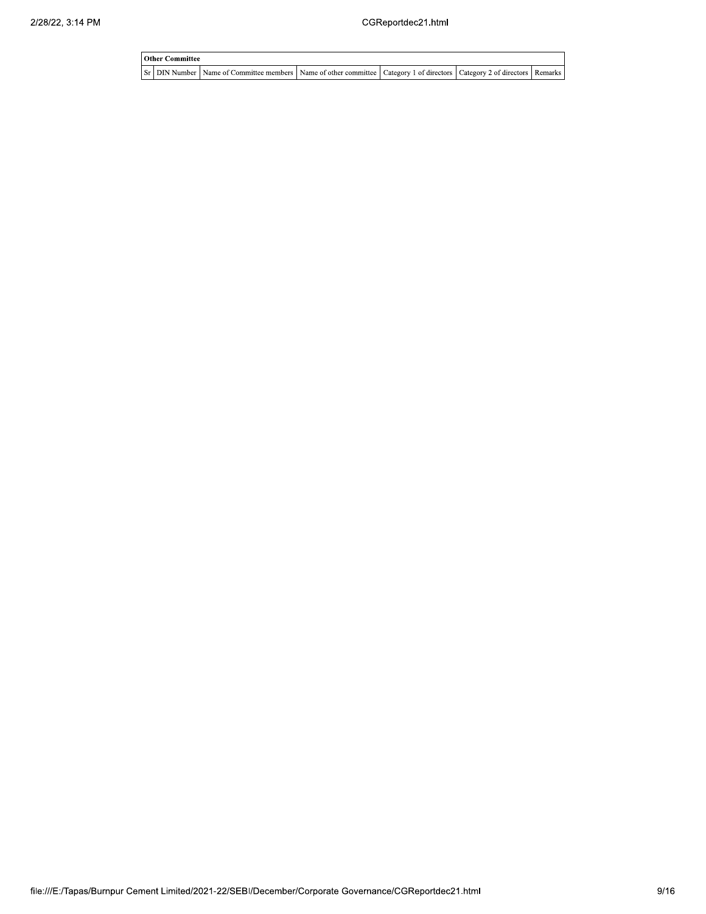| <b>Other Committee</b> |                                                                                                                         |  |  |  |  |  |  |  |  |
|------------------------|-------------------------------------------------------------------------------------------------------------------------|--|--|--|--|--|--|--|--|
|                        | Sr DIN Number Name of Committee members Name of other committee Category 1 of directors Category 2 of directors Remarks |  |  |  |  |  |  |  |  |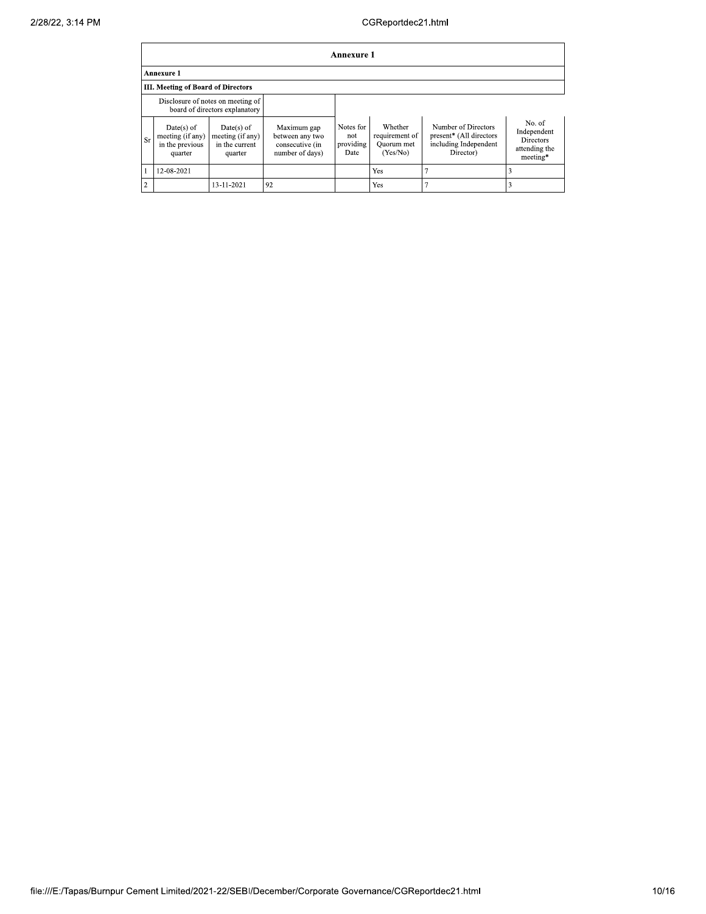|                | Annexure 1                                                          |                                                               |                                                                      |                                       |                                                     |                                                                                      |                                                                        |  |  |  |
|----------------|---------------------------------------------------------------------|---------------------------------------------------------------|----------------------------------------------------------------------|---------------------------------------|-----------------------------------------------------|--------------------------------------------------------------------------------------|------------------------------------------------------------------------|--|--|--|
|                | <b>Annexure 1</b>                                                   |                                                               |                                                                      |                                       |                                                     |                                                                                      |                                                                        |  |  |  |
|                | <b>III. Meeting of Board of Directors</b>                           |                                                               |                                                                      |                                       |                                                     |                                                                                      |                                                                        |  |  |  |
|                | Disclosure of notes on meeting of<br>board of directors explanatory |                                                               |                                                                      |                                       |                                                     |                                                                                      |                                                                        |  |  |  |
| <b>Sr</b>      | $Date(s)$ of<br>meeting (if any)<br>in the previous<br>quarter      | $Date(s)$ of<br>meeting (if any)<br>in the current<br>quarter | Maximum gap<br>between any two<br>consecutive (in<br>number of days) | Notes for<br>not<br>providing<br>Date | Whether<br>requirement of<br>Quorum met<br>(Yes/No) | Number of Directors<br>present* (All directors<br>including Independent<br>Director) | No. of<br>Independent<br><b>Directors</b><br>attending the<br>meeting* |  |  |  |
|                | 12-08-2021                                                          |                                                               |                                                                      |                                       | Yes                                                 |                                                                                      |                                                                        |  |  |  |
| $\overline{2}$ |                                                                     | 13-11-2021                                                    | 92                                                                   |                                       | Yes                                                 |                                                                                      |                                                                        |  |  |  |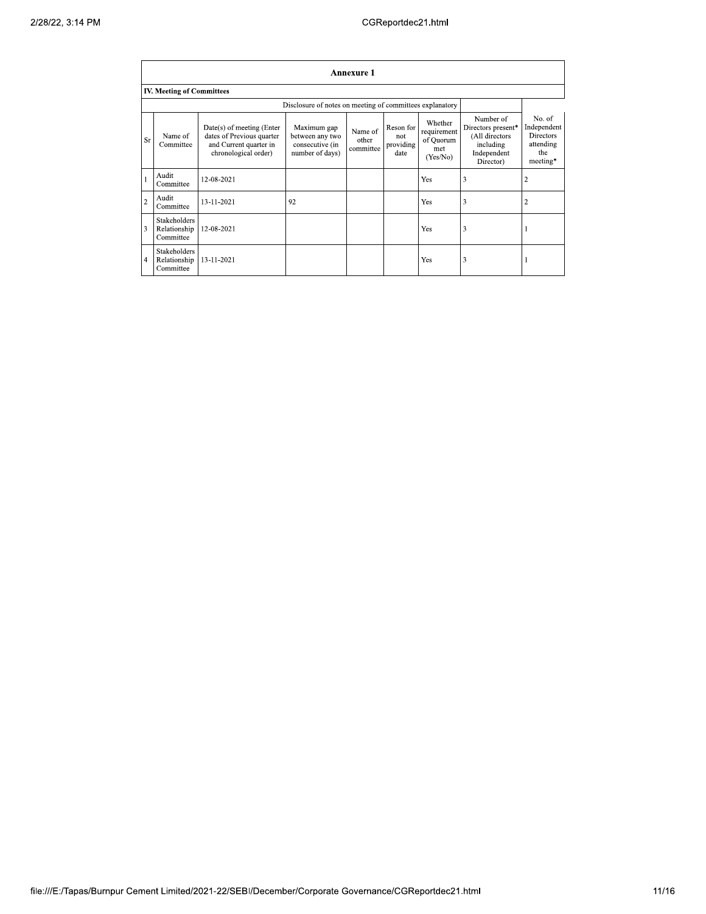|                | <b>Annexure 1</b>                                        |                                                                                                            |                                                                      |                               |                                       |                                                        |                                                                                            |                                                                           |  |
|----------------|----------------------------------------------------------|------------------------------------------------------------------------------------------------------------|----------------------------------------------------------------------|-------------------------------|---------------------------------------|--------------------------------------------------------|--------------------------------------------------------------------------------------------|---------------------------------------------------------------------------|--|
|                | <b>IV. Meeting of Committees</b>                         |                                                                                                            |                                                                      |                               |                                       |                                                        |                                                                                            |                                                                           |  |
|                | Disclosure of notes on meeting of committees explanatory |                                                                                                            |                                                                      |                               |                                       |                                                        |                                                                                            |                                                                           |  |
| <b>Sr</b>      | Name of<br>Committee                                     | $Date(s)$ of meeting (Enter<br>dates of Previous quarter<br>and Current quarter in<br>chronological order) | Maximum gap<br>between any two<br>consecutive (in<br>number of days) | Name of<br>other<br>committee | Reson for<br>not<br>providing<br>date | Whether<br>requirement<br>of Quorum<br>met<br>(Yes/No) | Number of<br>Directors present*<br>(All directors<br>including<br>Independent<br>Director) | No. of<br>Independent<br><b>Directors</b><br>attending<br>the<br>meeting* |  |
|                | Audit<br>Committee                                       | 12-08-2021                                                                                                 |                                                                      |                               |                                       | Yes                                                    | 3                                                                                          | $\overline{2}$                                                            |  |
| $\overline{2}$ | Audit<br>Committee                                       | 13-11-2021                                                                                                 | 92                                                                   |                               |                                       | Yes                                                    | 3                                                                                          | 2                                                                         |  |
| 3              | <b>Stakeholders</b><br>Relationship<br>Committee         | 12-08-2021                                                                                                 |                                                                      |                               |                                       | Yes                                                    | 3                                                                                          |                                                                           |  |
| $\overline{4}$ | Stakeholders<br>Relationship<br>Committee                | 13-11-2021                                                                                                 |                                                                      |                               |                                       | Yes                                                    | 3                                                                                          |                                                                           |  |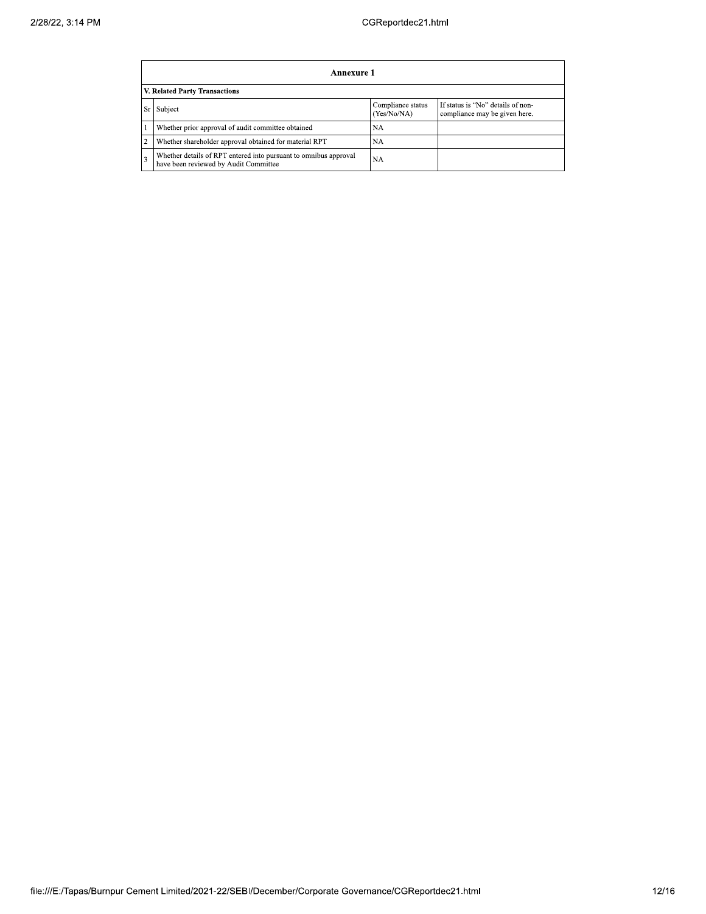| Annexure 1                                                                                                              |           |  |  |  |  |  |  |
|-------------------------------------------------------------------------------------------------------------------------|-----------|--|--|--|--|--|--|
| V. Related Party Transactions                                                                                           |           |  |  |  |  |  |  |
| If status is "No" details of non-<br>Compliance status<br>Subject<br>Sr<br>(Yes/No/NA)<br>compliance may be given here. |           |  |  |  |  |  |  |
| Whether prior approval of audit committee obtained                                                                      | <b>NA</b> |  |  |  |  |  |  |
| Whether shareholder approval obtained for material RPT                                                                  | <b>NA</b> |  |  |  |  |  |  |
| Whether details of RPT entered into pursuant to omnibus approval<br>have been reviewed by Audit Committee               | <b>NA</b> |  |  |  |  |  |  |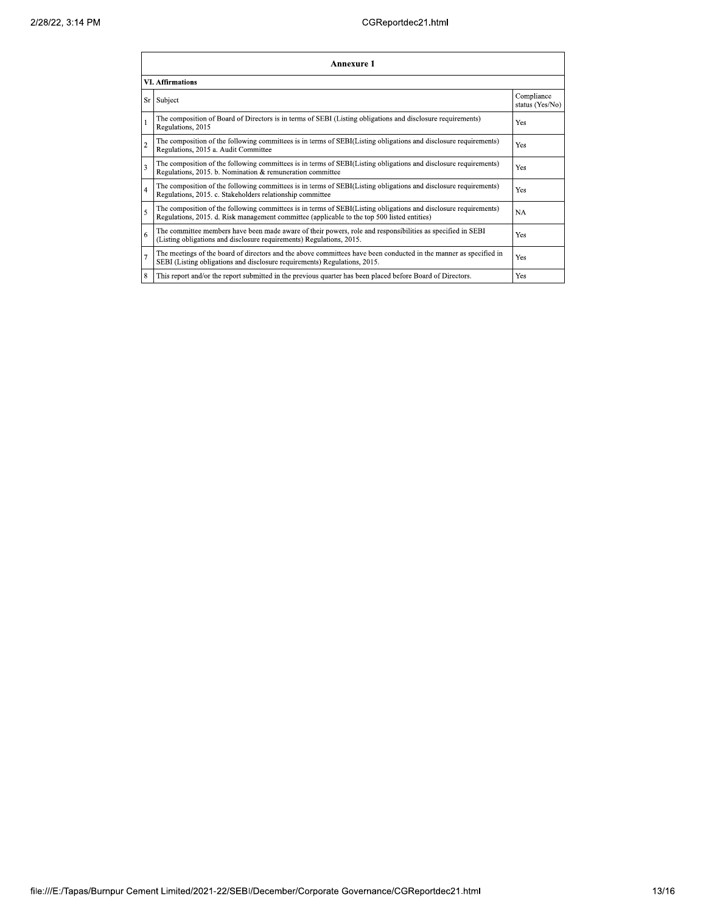| Annexure 1              |                                                                                                                                                                                                                 |                               |  |  |
|-------------------------|-----------------------------------------------------------------------------------------------------------------------------------------------------------------------------------------------------------------|-------------------------------|--|--|
| <b>VI.</b> Affirmations |                                                                                                                                                                                                                 |                               |  |  |
| <b>Sr</b>               | Subject                                                                                                                                                                                                         | Compliance<br>status (Yes/No) |  |  |
| l 1                     | The composition of Board of Directors is in terms of SEBI (Listing obligations and disclosure requirements)<br>Regulations, 2015                                                                                | Yes                           |  |  |
| $\overline{2}$          | The composition of the following committees is in terms of SEBI(Listing obligations and disclosure requirements)<br>Regulations, 2015 a. Audit Committee                                                        | Yes                           |  |  |
| $\overline{3}$          | The composition of the following committees is in terms of SEBI(Listing obligations and disclosure requirements)<br>Regulations, 2015. b. Nomination & remuneration committee                                   | Yes                           |  |  |
| $\overline{4}$          | The composition of the following committees is in terms of SEBI(Listing obligations and disclosure requirements)<br>Regulations, 2015. c. Stakeholders relationship committee                                   | Yes                           |  |  |
| 5                       | The composition of the following committees is in terms of SEBI(Listing obligations and disclosure requirements)<br>Regulations, 2015. d. Risk management committee (applicable to the top 500 listed entities) | <b>NA</b>                     |  |  |
| 6                       | The committee members have been made aware of their powers, role and responsibilities as specified in SEBI<br>(Listing obligations and disclosure requirements) Regulations, 2015.                              | Yes                           |  |  |
| $\overline{7}$          | The meetings of the board of directors and the above committees have been conducted in the manner as specified in<br>SEBI (Listing obligations and disclosure requirements) Regulations, 2015.                  | Yes                           |  |  |
| 8                       | This report and/or the report submitted in the previous quarter has been placed before Board of Directors.                                                                                                      | Yes                           |  |  |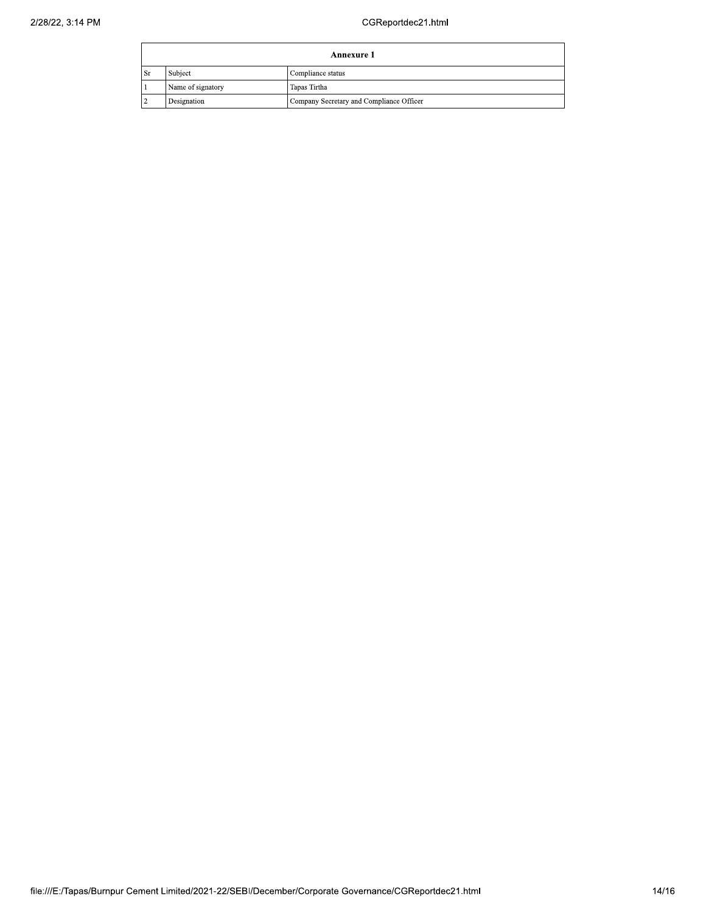|               | Annexure 1        |                                          |  |
|---------------|-------------------|------------------------------------------|--|
| <sup>Sr</sup> | Subject           | Compliance status                        |  |
|               | Name of signatory | Tapas Tirtha                             |  |
|               | Designation       | Company Secretary and Compliance Officer |  |